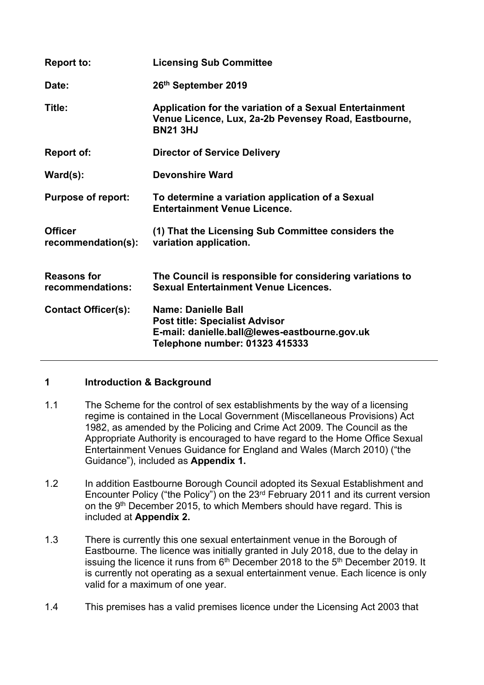| <b>Report to:</b>                      | <b>Licensing Sub Committee</b>                                                                                                                         |
|----------------------------------------|--------------------------------------------------------------------------------------------------------------------------------------------------------|
| Date:                                  | 26th September 2019                                                                                                                                    |
| Title:                                 | Application for the variation of a Sexual Entertainment<br>Venue Licence, Lux, 2a-2b Pevensey Road, Eastbourne,<br><b>BN21 3HJ</b>                     |
| Report of:                             | <b>Director of Service Delivery</b>                                                                                                                    |
| $\textsf{Ward}(s)$ :                   | Devonshire Ward                                                                                                                                        |
| <b>Purpose of report:</b>              | To determine a variation application of a Sexual<br><b>Entertainment Venue Licence.</b>                                                                |
| <b>Officer</b><br>recommendation(s):   | (1) That the Licensing Sub Committee considers the<br>variation application.                                                                           |
| <b>Reasons for</b><br>recommendations: | The Council is responsible for considering variations to<br><b>Sexual Entertainment Venue Licences.</b>                                                |
| <b>Contact Officer(s):</b>             | <b>Name: Danielle Ball</b><br><b>Post title: Specialist Advisor</b><br>E-mail: danielle.ball@lewes-eastbourne.gov.uk<br>Telephone number: 01323 415333 |

### **1 Introduction & Background**

- 1.1 The Scheme for the control of sex establishments by the way of a licensing regime is contained in the Local Government (Miscellaneous Provisions) Act 1982, as amended by the Policing and Crime Act 2009. The Council as the Appropriate Authority is encouraged to have regard to the Home Office Sexual Entertainment Venues Guidance for England and Wales (March 2010) ("the Guidance"), included as **Appendix 1.**
- 1.2 In addition Eastbourne Borough Council adopted its Sexual Establishment and Encounter Policy ("the Policy") on the 23rd February 2011 and its current version on the 9<sup>th</sup> December 2015, to which Members should have regard. This is included at **Appendix 2.**
- 1.3 There is currently this one sexual entertainment venue in the Borough of Eastbourne. The licence was initially granted in July 2018, due to the delay in issuing the licence it runs from 6<sup>th</sup> December 2018 to the 5<sup>th</sup> December 2019. It is currently not operating as a sexual entertainment venue. Each licence is only valid for a maximum of one year.
- 1.4 This premises has a valid premises licence under the Licensing Act 2003 that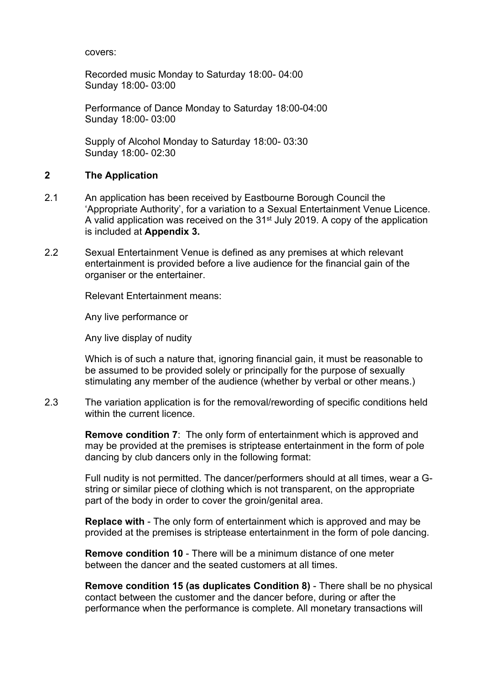covers:

Recorded music Monday to Saturday 18:00- 04:00 Sunday 18:00- 03:00

Performance of Dance Monday to Saturday 18:00-04:00 Sunday 18:00- 03:00

Supply of Alcohol Monday to Saturday 18:00- 03:30 Sunday 18:00- 02:30

#### **2 The Application**

- 2.1 An application has been received by Eastbourne Borough Council the 'Appropriate Authority', for a variation to a Sexual Entertainment Venue Licence. A valid application was received on the 31st July 2019. A copy of the application is included at **Appendix 3.**
- 2.2 Sexual Entertainment Venue is defined as any premises at which relevant entertainment is provided before a live audience for the financial gain of the organiser or the entertainer.

Relevant Entertainment means:

Any live performance or

Any live display of nudity

Which is of such a nature that, ignoring financial gain, it must be reasonable to be assumed to be provided solely or principally for the purpose of sexually stimulating any member of the audience (whether by verbal or other means.)

2.3 The variation application is for the removal/rewording of specific conditions held within the current licence.

> **Remove condition 7**: The only form of entertainment which is approved and may be provided at the premises is striptease entertainment in the form of pole dancing by club dancers only in the following format:

Full nudity is not permitted. The dancer/performers should at all times, wear a Gstring or similar piece of clothing which is not transparent, on the appropriate part of the body in order to cover the groin/genital area.

**Replace with** - The only form of entertainment which is approved and may be provided at the premises is striptease entertainment in the form of pole dancing.

**Remove condition 10** - There will be a minimum distance of one meter between the dancer and the seated customers at all times.

**Remove condition 15 (as duplicates Condition 8)** - There shall be no physical contact between the customer and the dancer before, during or after the performance when the performance is complete. All monetary transactions will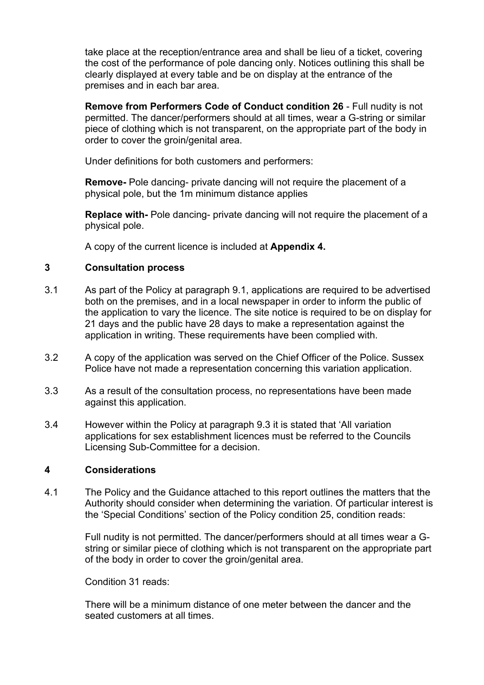take place at the reception/entrance area and shall be lieu of a ticket, covering the cost of the performance of pole dancing only. Notices outlining this shall be clearly displayed at every table and be on display at the entrance of the premises and in each bar area.

**Remove from Performers Code of Conduct condition 26** - Full nudity is not permitted. The dancer/performers should at all times, wear a G-string or similar piece of clothing which is not transparent, on the appropriate part of the body in order to cover the groin/genital area.

Under definitions for both customers and performers:

**Remove-** Pole dancing- private dancing will not require the placement of a physical pole, but the 1m minimum distance applies

**Replace with-** Pole dancing- private dancing will not require the placement of a physical pole.

A copy of the current licence is included at **Appendix 4.**

### **3 Consultation process**

- 3.1 As part of the Policy at paragraph 9.1, applications are required to be advertised both on the premises, and in a local newspaper in order to inform the public of the application to vary the licence. The site notice is required to be on display for 21 days and the public have 28 days to make a representation against the application in writing. These requirements have been complied with.
- 3.2 A copy of the application was served on the Chief Officer of the Police. Sussex Police have not made a representation concerning this variation application.
- 3.3 As a result of the consultation process, no representations have been made against this application.
- 3.4 However within the Policy at paragraph 9.3 it is stated that 'All variation applications for sex establishment licences must be referred to the Councils Licensing Sub-Committee for a decision.

### **4 Considerations**

4.1 The Policy and the Guidance attached to this report outlines the matters that the Authority should consider when determining the variation. Of particular interest is the 'Special Conditions' section of the Policy condition 25, condition reads:

> Full nudity is not permitted. The dancer/performers should at all times wear a Gstring or similar piece of clothing which is not transparent on the appropriate part of the body in order to cover the groin/genital area.

Condition 31 reads:

There will be a minimum distance of one meter between the dancer and the seated customers at all times.